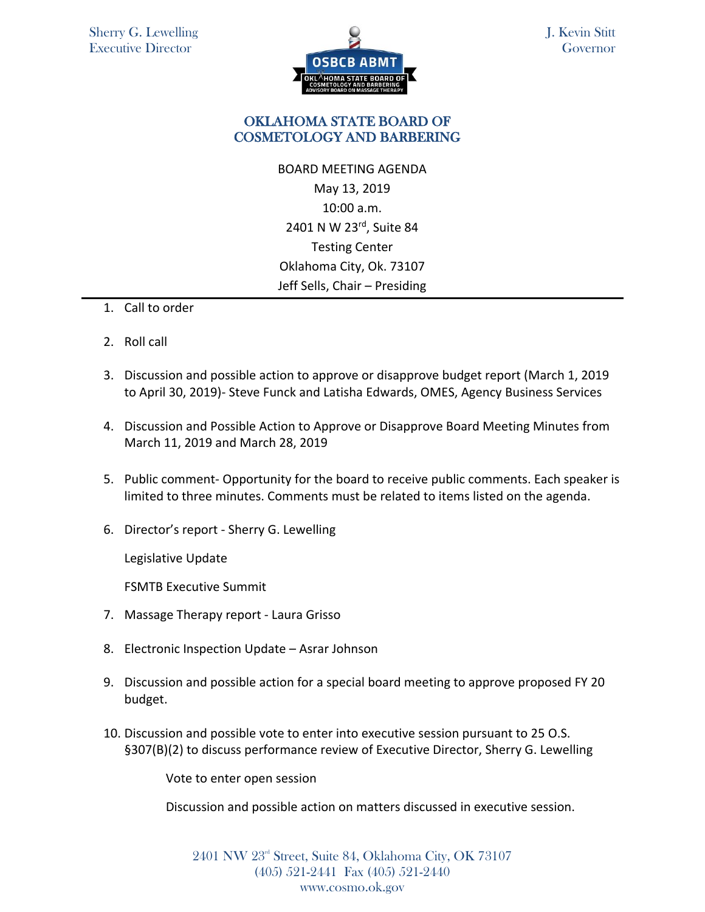

J. Kevin Stitt **Governor** 

## OKLAHOMA STATE BOARD OF COSMETOLOGY AND BARBERING

BOARD MEETING AGENDA May 13, 2019 10:00 a.m. 2401 N W 23rd, Suite 84 Testing Center Oklahoma City, Ok. 73107 Jeff Sells, Chair – Presiding

- 1. Call to order
- 2. Roll call
- 3. Discussion and possible action to approve or disapprove budget report (March 1, 2019 to April 30, 2019)- Steve Funck and Latisha Edwards, OMES, Agency Business Services
- 4. Discussion and Possible Action to Approve or Disapprove Board Meeting Minutes from March 11, 2019 and March 28, 2019
- 5. Public comment- Opportunity for the board to receive public comments. Each speaker is limited to three minutes. Comments must be related to items listed on the agenda.
- 6. Director's report Sherry G. Lewelling

Legislative Update

FSMTB Executive Summit

- 7. Massage Therapy report Laura Grisso
- 8. Electronic Inspection Update Asrar Johnson
- 9. Discussion and possible action for a special board meeting to approve proposed FY 20 budget.
- 10. Discussion and possible vote to enter into executive session pursuant to 25 O.S. §307(B)(2) to discuss performance review of Executive Director, Sherry G. Lewelling

Vote to enter open session

Discussion and possible action on matters discussed in executive session.

2401 NW 23rd Street, Suite 84, Oklahoma City, OK 73107 (405) 521-2441 Fax (405) 521-2440 www.cosmo.ok.gov